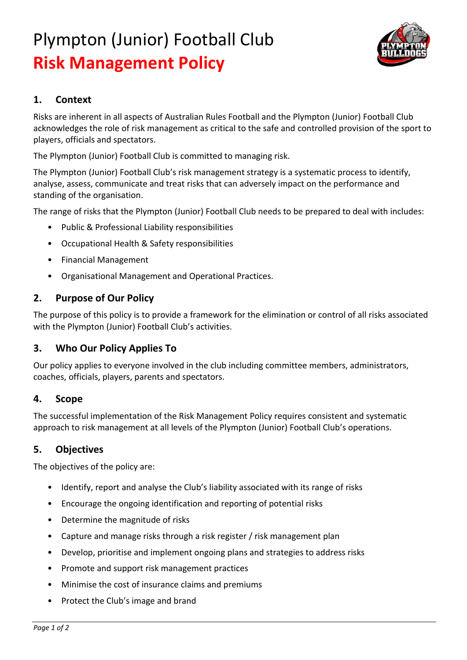# Plympton (Junior) Football Club **Risk Management Policy**



## **1. Context**

Risks are inherent in all aspects of Australian Rules Football and the Plympton (Junior) Football Club acknowledges the role of risk management as critical to the safe and controlled provision of the sport to players, officials and spectators.

The Plympton (Junior) Football Club is committed to managing risk.

The Plympton (Junior) Football Club's risk management strategy is a systematic process to identify, analyse, assess, communicate and treat risks that can adversely impact on the performance and standing of the organisation.

The range of risks that the Plympton (Junior) Football Club needs to be prepared to deal with includes:

- Public & Professional Liability responsibilities
- Occupational Health & Safety responsibilities
- Financial Management
- Organisational Management and Operational Practices.

#### **2. Purpose of Our Policy**

The purpose of this policy is to provide a framework for the elimination or control of all risks associated with the Plympton (Junior) Football Club's activities.

## **3. Who Our Policy Applies To**

Our policy applies to everyone involved in the club including committee members, administrators, coaches, officials, players, parents and spectators.

#### **4. Scope**

The successful implementation of the Risk Management Policy requires consistent and systematic approach to risk management at all levels of the Plympton (Junior) Football Club's operations.

#### **5. Objectives**

The objectives of the policy are:

- Identify, report and analyse the Club's liability associated with its range of risks
- Encourage the ongoing identification and reporting of potential risks
- Determine the magnitude of risks
- Capture and manage risks through a risk register / risk management plan
- Develop, prioritise and implement ongoing plans and strategies to address risks
- Promote and support risk management practices
- Minimise the cost of insurance claims and premiums
- Protect the Club's image and brand